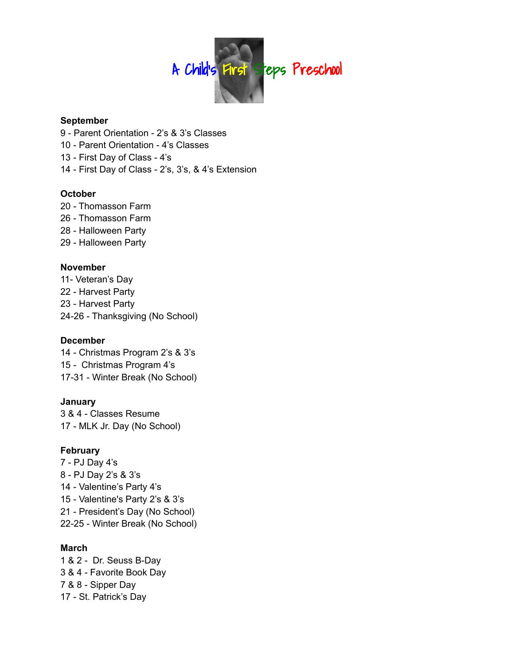

#### **September**

- Parent Orientation 2's & 3's Classes
- Parent Orientation 4's Classes
- First Day of Class 4's
- First Day of Class 2's, 3's, & 4's Extension

# **October**

 - Thomasson Farm - Thomasson Farm - Halloween Party - Halloween Party

### **November**

11- Veteran's Day - Harvest Party - Harvest Party 24-26 - Thanksgiving (No School)

#### **December**

 - Christmas Program 2's & 3's - Christmas Program 4's 17-31 - Winter Break (No School)

# **January**

 & 4 - Classes Resume - MLK Jr. Day (No School)

# **February**

 - PJ Day 4's - PJ Day 2's & 3's - Valentine's Party 4's - Valentine's Party 2's & 3's - President's Day (No School) 22-25 - Winter Break (No School)

#### **March**

 & 2 - Dr. Seuss B-Day & 4 - Favorite Book Day & 8 - Sipper Day - St. Patrick's Day